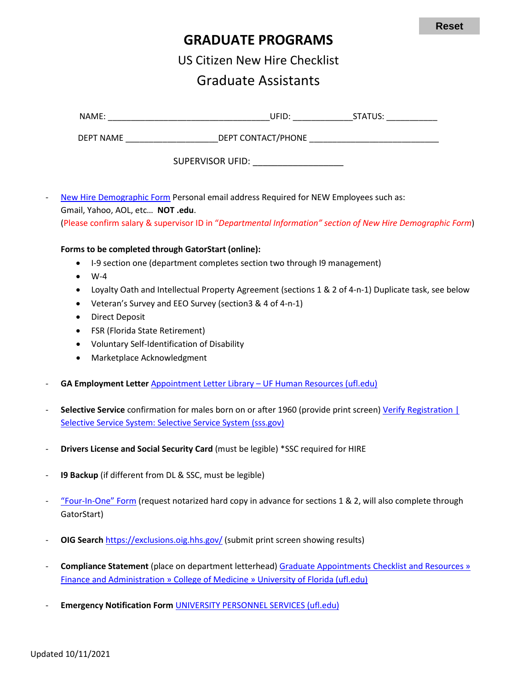**Reset**

## **GRADUATE PROGRAMS**

US Citizen New Hire Checklist

## Graduate Assistants

|                                                                                                           |                                                                                                           | DEPT NAME ____________________________DEPT CONTACT/PHONE ________________________                                                                                           |  |  |  |
|-----------------------------------------------------------------------------------------------------------|-----------------------------------------------------------------------------------------------------------|-----------------------------------------------------------------------------------------------------------------------------------------------------------------------------|--|--|--|
|                                                                                                           | SUPERVISOR UFID: ____________________                                                                     |                                                                                                                                                                             |  |  |  |
|                                                                                                           |                                                                                                           | New Hire Demographic Form Personal email address Required for NEW Employees such as:                                                                                        |  |  |  |
|                                                                                                           | Gmail, Yahoo, AOL, etc NOT .edu.                                                                          |                                                                                                                                                                             |  |  |  |
|                                                                                                           |                                                                                                           | (Please confirm salary & supervisor ID in "Departmental Information" section of New Hire Demographic Form)                                                                  |  |  |  |
|                                                                                                           | Forms to be completed through GatorStart (online):                                                        |                                                                                                                                                                             |  |  |  |
|                                                                                                           | I-9 section one (department completes section two through I9 management)<br>٠                             |                                                                                                                                                                             |  |  |  |
|                                                                                                           | $W-4$<br>$\bullet$                                                                                        |                                                                                                                                                                             |  |  |  |
| Loyalty Oath and Intellectual Property Agreement (sections 1 & 2 of 4-n-1) Duplicate task, see below<br>٠ |                                                                                                           |                                                                                                                                                                             |  |  |  |
|                                                                                                           | ٠                                                                                                         | Veteran's Survey and EEO Survey (section 3 & 4 of 4-n-1)                                                                                                                    |  |  |  |
|                                                                                                           | <b>Direct Deposit</b><br>٠                                                                                |                                                                                                                                                                             |  |  |  |
|                                                                                                           | FSR (Florida State Retirement)<br>٠                                                                       |                                                                                                                                                                             |  |  |  |
| Voluntary Self-Identification of Disability<br>٠                                                          |                                                                                                           |                                                                                                                                                                             |  |  |  |
|                                                                                                           | Marketplace Acknowledgment<br>$\bullet$                                                                   |                                                                                                                                                                             |  |  |  |
|                                                                                                           |                                                                                                           | GA Employment Letter Appointment Letter Library - UF Human Resources (ufl.edu)                                                                                              |  |  |  |
|                                                                                                           |                                                                                                           |                                                                                                                                                                             |  |  |  |
|                                                                                                           |                                                                                                           | Selective Service confirmation for males born on or after 1960 (provide print screen) Verify Registration  <br>Selective Service System: Selective Service System (sss.gov) |  |  |  |
|                                                                                                           |                                                                                                           |                                                                                                                                                                             |  |  |  |
| -                                                                                                         | Drivers License and Social Security Card (must be legible) *SSC required for HIRE                         |                                                                                                                                                                             |  |  |  |
| $\overline{\phantom{a}}$                                                                                  | 19 Backup (if different from DL & SSC, must be legible)                                                   |                                                                                                                                                                             |  |  |  |
|                                                                                                           | "Four-In-One" Form (request notarized hard copy in advance for sections 1 & 2, will also complete through |                                                                                                                                                                             |  |  |  |
|                                                                                                           | GatorStart)                                                                                               |                                                                                                                                                                             |  |  |  |
| -                                                                                                         |                                                                                                           | OIG Search https://exclusions.oig.hhs.gov/ (submit print screen showing results)                                                                                            |  |  |  |
| -                                                                                                         |                                                                                                           | <b>Compliance Statement (place on department letterhead) Graduate Appointments Checklist and Resources »</b>                                                                |  |  |  |
|                                                                                                           | Finance and Administration » College of Medicine » University of Florida (ufl.edu)                        |                                                                                                                                                                             |  |  |  |

- **Emergency Notification Form** [UNIVERSITY PERSONNEL SERVICES \(ufl.edu\)](https://hr.ufl.edu/wp-content/uploads/2018/03/emergency.pdf)